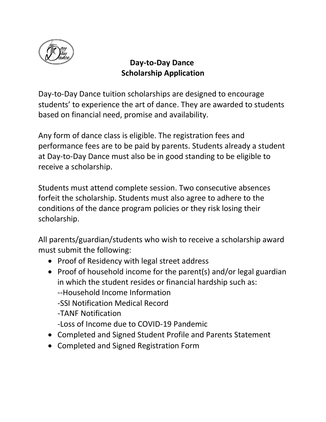

# **Day-to-Day Dance Scholarship Application**

Day-to-Day Dance tuition scholarships are designed to encourage students' to experience the art of dance. They are awarded to students based on financial need, promise and availability.

Any form of dance class is eligible. The registration fees and performance fees are to be paid by parents. Students already a student at Day-to-Day Dance must also be in good standing to be eligible to receive a scholarship.

Students must attend complete session. Two consecutive absences forfeit the scholarship. Students must also agree to adhere to the conditions of the dance program policies or they risk losing their scholarship.

All parents/guardian/students who wish to receive a scholarship award must submit the following:

- Proof of Residency with legal street address
- Proof of household income for the parent(s) and/or legal guardian in which the student resides or financial hardship such as: --Household Income Information

-SSI Notification Medical Record

-TANF Notification

-Loss of Income due to COVID-19 Pandemic

- Completed and Signed Student Profile and Parents Statement
- Completed and Signed Registration Form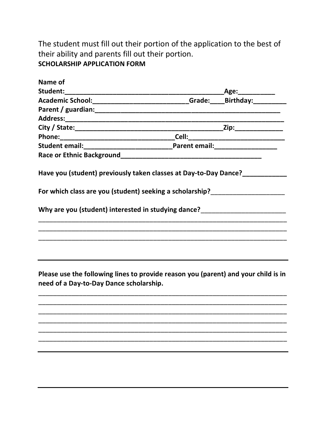The student must fill out their portion of the application to the best of their ability and parents fill out their portion. **SCHOLARSHIP APPLICATION FORM**

| Name of |                                                                                                                              |
|---------|------------------------------------------------------------------------------------------------------------------------------|
|         |                                                                                                                              |
|         | Academic School: ______________________________Grade: _____Birthday: ___________                                             |
|         |                                                                                                                              |
|         |                                                                                                                              |
|         |                                                                                                                              |
|         |                                                                                                                              |
|         |                                                                                                                              |
|         |                                                                                                                              |
|         | Have you (student) previously taken classes at Day-to-Day Dance?<br>For which class are you (student) seeking a scholarship? |
|         |                                                                                                                              |
|         |                                                                                                                              |
|         |                                                                                                                              |
|         |                                                                                                                              |
|         |                                                                                                                              |

**Please use the following lines to provide reason you (parent) and your child is in need of a Day-to-Day Dance scholarship.**

\_\_\_\_\_\_\_\_\_\_\_\_\_\_\_\_\_\_\_\_\_\_\_\_\_\_\_\_\_\_\_\_\_\_\_\_\_\_\_\_\_\_\_\_\_\_\_\_\_\_\_\_\_\_\_\_\_\_\_\_\_\_\_\_\_\_\_ \_\_\_\_\_\_\_\_\_\_\_\_\_\_\_\_\_\_\_\_\_\_\_\_\_\_\_\_\_\_\_\_\_\_\_\_\_\_\_\_\_\_\_\_\_\_\_\_\_\_\_\_\_\_\_\_\_\_\_\_\_\_\_\_\_\_\_ \_\_\_\_\_\_\_\_\_\_\_\_\_\_\_\_\_\_\_\_\_\_\_\_\_\_\_\_\_\_\_\_\_\_\_\_\_\_\_\_\_\_\_\_\_\_\_\_\_\_\_\_\_\_\_\_\_\_\_\_\_\_\_\_\_\_\_ \_\_\_\_\_\_\_\_\_\_\_\_\_\_\_\_\_\_\_\_\_\_\_\_\_\_\_\_\_\_\_\_\_\_\_\_\_\_\_\_\_\_\_\_\_\_\_\_\_\_\_\_\_\_\_\_\_\_\_\_\_\_\_\_\_\_\_ \_\_\_\_\_\_\_\_\_\_\_\_\_\_\_\_\_\_\_\_\_\_\_\_\_\_\_\_\_\_\_\_\_\_\_\_\_\_\_\_\_\_\_\_\_\_\_\_\_\_\_\_\_\_\_\_\_\_\_\_\_\_\_\_\_\_\_ \_\_\_\_\_\_\_\_\_\_\_\_\_\_\_\_\_\_\_\_\_\_\_\_\_\_\_\_\_\_\_\_\_\_\_\_\_\_\_\_\_\_\_\_\_\_\_\_\_\_\_\_\_\_\_\_\_\_\_\_\_\_\_\_\_\_\_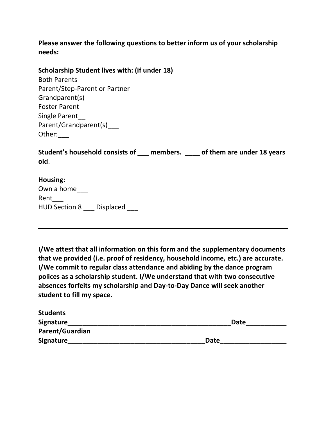## **Please answer the following questions to better inform us of your scholarship needs:**

#### **Scholarship Student lives with: (if under 18)**

Both Parents \_\_ Parent/Step-Parent or Partner \_\_ Grandparent(s)\_\_ Foster Parent\_\_ Single Parent\_\_ Parent/Grandparent(s)\_\_\_ Other:\_\_\_

**Student's household consists of \_\_\_ members. \_\_\_\_ of them are under 18 years old**.

### **Housing:**

Own a home\_\_\_ Rent\_\_\_ HUD Section 8 \_\_\_ Displaced \_\_\_

**I/We attest that all information on this form and the supplementary documents that we provided (i.e. proof of residency, household income, etc.) are accurate. I/We commit to regular class attendance and abiding by the dance program polices as a scholarship student. I/We understand that with two consecutive absences forfeits my scholarship and Day-to-Day Dance will seek another student to fill my space.**

| <b>Students</b>  |             |  |
|------------------|-------------|--|
| <b>Signature</b> | <b>Date</b> |  |
| Parent/Guardian  |             |  |
| Signature        | <b>Date</b> |  |